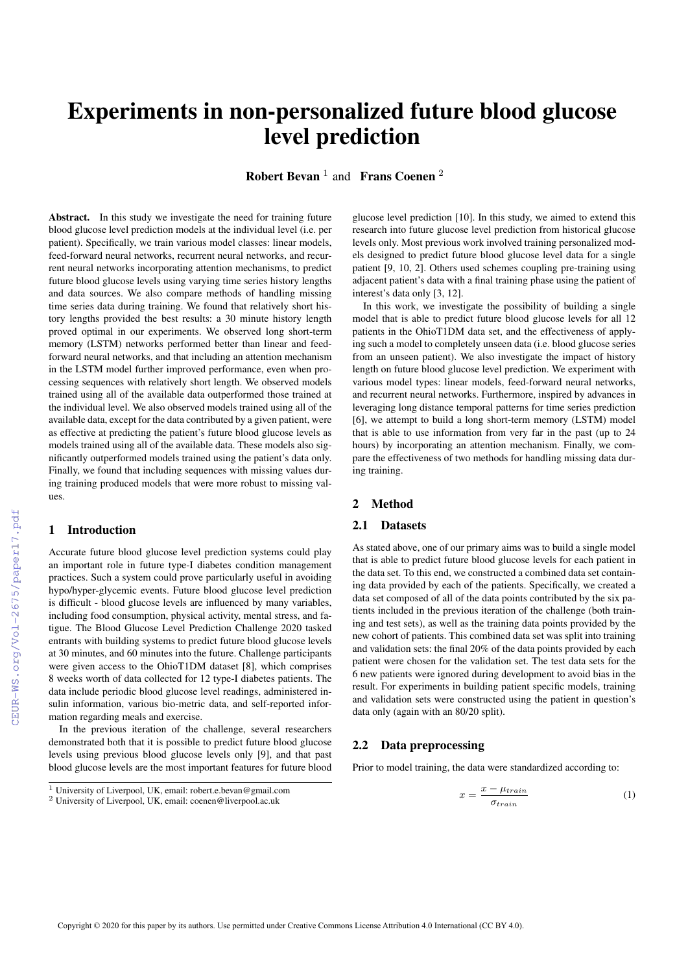# Experiments in non-personalized future blood glucose level prediction

**Robert Bevan**  $^1$  and **Frans Coenen**  $^2$ 

Abstract. In this study we investigate the need for training future blood glucose level prediction models at the individual level (i.e. per patient). Specifically, we train various model classes: linear models, feed-forward neural networks, recurrent neural networks, and recurrent neural networks incorporating attention mechanisms, to predict future blood glucose levels using varying time series history lengths and data sources. We also compare methods of handling missing time series data during training. We found that relatively short history lengths provided the best results: a 30 minute history length proved optimal in our experiments. We observed long short-term memory (LSTM) networks performed better than linear and feedforward neural networks, and that including an attention mechanism in the LSTM model further improved performance, even when processing sequences with relatively short length. We observed models trained using all of the available data outperformed those trained at the individual level. We also observed models trained using all of the available data, except for the data contributed by a given patient, were as effective at predicting the patient's future blood glucose levels as models trained using all of the available data. These models also significantly outperformed models trained using the patient's data only. Finally, we found that including sequences with missing values during training produced models that were more robust to missing values.

#### 1 Introduction

Accurate future blood glucose level prediction systems could play an important role in future type-I diabetes condition management practices. Such a system could prove particularly useful in avoiding hypo/hyper-glycemic events. Future blood glucose level prediction is difficult - blood glucose levels are influenced by many variables, including food consumption, physical activity, mental stress, and fatigue. The Blood Glucose Level Prediction Challenge 2020 tasked entrants with building systems to predict future blood glucose levels at 30 minutes, and 60 minutes into the future. Challenge participants were given access to the OhioT1DM dataset [8], which comprises 8 weeks worth of data collected for 12 type-I diabetes patients. The data include periodic blood glucose level readings, administered insulin information, various bio-metric data, and self-reported information regarding meals and exercise.

In the previous iteration of the challenge, several researchers demonstrated both that it is possible to predict future blood glucose levels using previous blood glucose levels only [9], and that past blood glucose levels are the most important features for future blood glucose level prediction [10]. In this study, we aimed to extend this research into future glucose level prediction from historical glucose levels only. Most previous work involved training personalized models designed to predict future blood glucose level data for a single patient [9, 10, 2]. Others used schemes coupling pre-training using adjacent patient's data with a final training phase using the patient of interest's data only [3, 12].

In this work, we investigate the possibility of building a single model that is able to predict future blood glucose levels for all 12 patients in the OhioT1DM data set, and the effectiveness of applying such a model to completely unseen data (i.e. blood glucose series from an unseen patient). We also investigate the impact of history length on future blood glucose level prediction. We experiment with various model types: linear models, feed-forward neural networks, and recurrent neural networks. Furthermore, inspired by advances in leveraging long distance temporal patterns for time series prediction [6], we attempt to build a long short-term memory (LSTM) model that is able to use information from very far in the past (up to 24 hours) by incorporating an attention mechanism. Finally, we compare the effectiveness of two methods for handling missing data during training.

#### 2 Method

## 2.1 Datasets

As stated above, one of our primary aims was to build a single model that is able to predict future blood glucose levels for each patient in the data set. To this end, we constructed a combined data set containing data provided by each of the patients. Specifically, we created a data set composed of all of the data points contributed by the six patients included in the previous iteration of the challenge (both training and test sets), as well as the training data points provided by the new cohort of patients. This combined data set was split into training and validation sets: the final 20% of the data points provided by each patient were chosen for the validation set. The test data sets for the 6 new patients were ignored during development to avoid bias in the result. For experiments in building patient specific models, training and validation sets were constructed using the patient in question's data only (again with an 80/20 split).

#### 2.2 Data preprocessing

Prior to model training, the data were standardized according to:

$$
x = \frac{x - \mu_{train}}{\sigma_{train}} \tag{1}
$$

<sup>1</sup> University of Liverpool, UK, email: robert.e.bevan@gmail.com

<sup>2</sup> University of Liverpool, UK, email: coenen@liverpool.ac.uk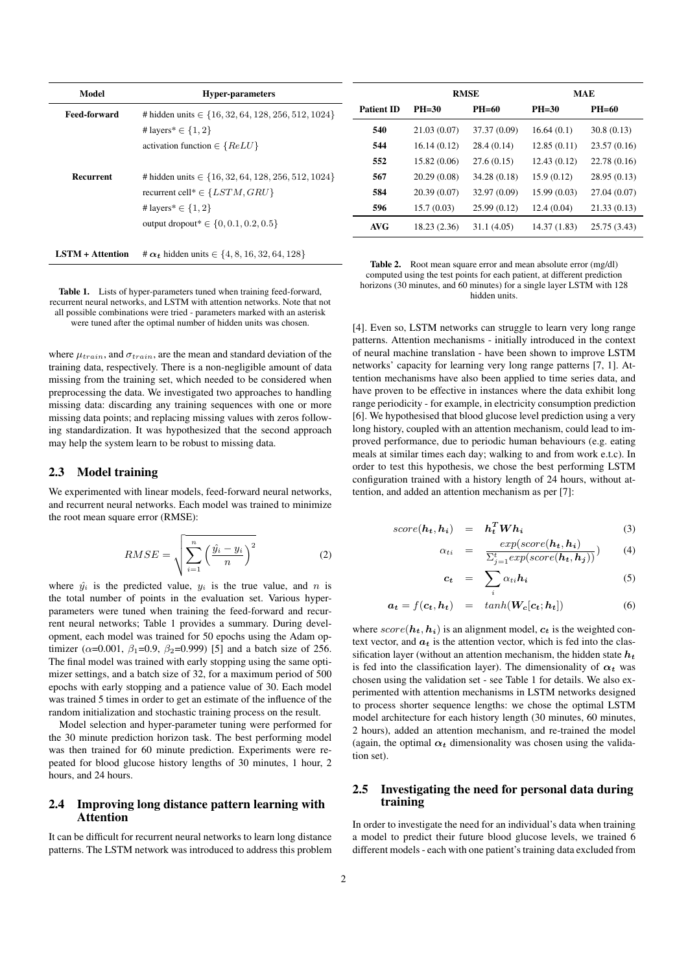| Model                   | <b>Hyper-parameters</b>                                   |  |
|-------------------------|-----------------------------------------------------------|--|
| <b>Feed-forward</b>     | # hidden units $\in \{16, 32, 64, 128, 256, 512, 1024\}$  |  |
|                         | # layers * $\in \{1, 2\}$                                 |  |
|                         | activation function $\in$ {ReLU}                          |  |
|                         |                                                           |  |
| <b>Recurrent</b>        | # hidden units $\in \{16, 32, 64, 128, 256, 512, 1024\}$  |  |
|                         | recurrent cell* $\in \{LSTM, GRU\}$                       |  |
|                         | # layers * $\in \{1, 2\}$                                 |  |
|                         | output dropout* $\in \{0, 0.1, 0.2, 0.5\}$                |  |
|                         |                                                           |  |
| <b>LSTM + Attention</b> | # $\alpha_t$ hidden units $\in \{4, 8, 16, 32, 64, 128\}$ |  |

Table 1. Lists of hyper-parameters tuned when training feed-forward, recurrent neural networks, and LSTM with attention networks. Note that not all possible combinations were tried - parameters marked with an asterisk were tuned after the optimal number of hidden units was chosen.

where  $\mu_{train}$ , and  $\sigma_{train}$ , are the mean and standard deviation of the training data, respectively. There is a non-negligible amount of data missing from the training set, which needed to be considered when preprocessing the data. We investigated two approaches to handling missing data: discarding any training sequences with one or more missing data points; and replacing missing values with zeros following standardization. It was hypothesized that the second approach may help the system learn to be robust to missing data.

#### 2.3 Model training

We experimented with linear models, feed-forward neural networks, and recurrent neural networks. Each model was trained to minimize the root mean square error (RMSE):

$$
RMSE = \sqrt{\sum_{i=1}^{n} \left(\frac{\hat{y_i} - y_i}{n}\right)^2}
$$
 (2)

where  $\hat{y}_i$  is the predicted value,  $y_i$  is the true value, and n is the total number of points in the evaluation set. Various hyperparameters were tuned when training the feed-forward and recurrent neural networks; Table 1 provides a summary. During development, each model was trained for 50 epochs using the Adam optimizer ( $\alpha$ =0.001,  $\beta_1$ =0.9,  $\beta_2$ =0.999) [5] and a batch size of 256. The final model was trained with early stopping using the same optimizer settings, and a batch size of 32, for a maximum period of 500 epochs with early stopping and a patience value of 30. Each model was trained 5 times in order to get an estimate of the influence of the random initialization and stochastic training process on the result.

Model selection and hyper-parameter tuning were performed for the 30 minute prediction horizon task. The best performing model was then trained for 60 minute prediction. Experiments were repeated for blood glucose history lengths of 30 minutes, 1 hour, 2 hours, and 24 hours.

## 2.4 Improving long distance pattern learning with Attention

It can be difficult for recurrent neural networks to learn long distance patterns. The LSTM network was introduced to address this problem

|                   | <b>RMSE</b>  |              | <b>MAE</b>   |              |
|-------------------|--------------|--------------|--------------|--------------|
| <b>Patient ID</b> | $PH=30$      | $PH=60$      | $PH=30$      | $PH=60$      |
| 540               | 21.03(0.07)  | 37.37 (0.09) | 16.64(0.1)   | 30.8(0.13)   |
| 544               | 16.14(0.12)  | 28.4(0.14)   | 12.85(0.11)  | 23.57(0.16)  |
| 552               | 15.82 (0.06) | 27.6(0.15)   | 12.43(0.12)  | 22.78 (0.16) |
| 567               | 20.29(0.08)  | 34.28 (0.18) | 15.9(0.12)   | 28.95 (0.13) |
| 584               | 20.39(0.07)  | 32.97 (0.09) | 15.99(0.03)  | 27.04 (0.07) |
| 596               | 15.7(0.03)   | 25.99(0.12)  | 12.4(0.04)   | 21.33(0.13)  |
| <b>AVG</b>        | 18.23 (2.36) | 31.1 (4.05)  | 14.37 (1.83) | 25.75 (3.43) |

|                                                                        | <b>Table 2.</b> Root mean square error and mean absolute error (mg/dl)   |  |  |  |
|------------------------------------------------------------------------|--------------------------------------------------------------------------|--|--|--|
|                                                                        | computed using the test points for each patient, at different prediction |  |  |  |
| horizons (30 minutes, and 60 minutes) for a single layer LSTM with 128 |                                                                          |  |  |  |
|                                                                        | hidden units.                                                            |  |  |  |

[4]. Even so, LSTM networks can struggle to learn very long range patterns. Attention mechanisms - initially introduced in the context of neural machine translation - have been shown to improve LSTM networks' capacity for learning very long range patterns [7, 1]. Attention mechanisms have also been applied to time series data, and have proven to be effective in instances where the data exhibit long range periodicity - for example, in electricity consumption prediction [6]. We hypothesised that blood glucose level prediction using a very long history, coupled with an attention mechanism, could lead to improved performance, due to periodic human behaviours (e.g. eating meals at similar times each day; walking to and from work e.t.c). In order to test this hypothesis, we chose the best performing LSTM configuration trained with a history length of 24 hours, without attention, and added an attention mechanism as per [7]:

$$
score(h_t, h_i) = h_t^T W h_i \tag{3}
$$

$$
\alpha_{ti} = \frac{exp(score(\mathbf{h_t}, \mathbf{h_i})}{\sum_{j=1}^{t} exp(score(\mathbf{h_t}, \mathbf{h_j}))}) \qquad (4)
$$

$$
c_t = \sum_i \alpha_{ti} h_i \tag{5}
$$

$$
a_t = f(c_t, h_t) = tanh(W_c[c_t; h_t])
$$
\n(6)

where  $score(h_t, h_i)$  is an alignment model,  $c_t$  is the weighted context vector, and  $a_t$  is the attention vector, which is fed into the classification layer (without an attention mechanism, the hidden state  $h_t$ is fed into the classification layer). The dimensionality of  $\alpha_t$  was chosen using the validation set - see Table 1 for details. We also experimented with attention mechanisms in LSTM networks designed to process shorter sequence lengths: we chose the optimal LSTM model architecture for each history length (30 minutes, 60 minutes, 2 hours), added an attention mechanism, and re-trained the model (again, the optimal  $\alpha_t$  dimensionality was chosen using the validation set).

#### 2.5 Investigating the need for personal data during training

In order to investigate the need for an individual's data when training a model to predict their future blood glucose levels, we trained 6 different models - each with one patient's training data excluded from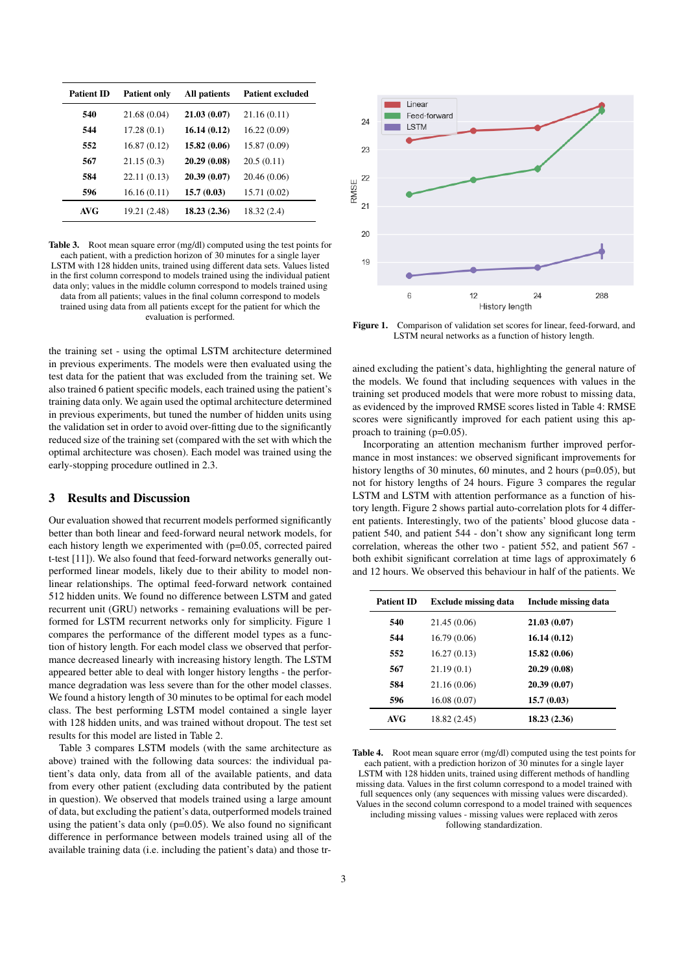Table 3. Root mean square error (mg/dl) computed using the test points for each patient, with a prediction horizon of 30 minutes for a single layer LSTM with 128 hidden units, trained using different data sets. Values listed in the first column correspond to models trained using the individual patient data only; values in the middle column correspond to models trained using data from all patients; values in the final column correspond to models trained using data from all patients except for the patient for which the evaluation is performed.

the training set - using the optimal LSTM architecture determined in previous experiments. The models were then evaluated using the test data for the patient that was excluded from the training set. We also trained 6 patient specific models, each trained using the patient's training data only. We again used the optimal architecture determined in previous experiments, but tuned the number of hidden units using the validation set in order to avoid over-fitting due to the significantly reduced size of the training set (compared with the set with which the optimal architecture was chosen). Each model was trained using the early-stopping procedure outlined in 2.3.

## 3 Results and Discussion

Our evaluation showed that recurrent models performed significantly better than both linear and feed-forward neural network models, for each history length we experimented with (p=0.05, corrected paired t-test [11]). We also found that feed-forward networks generally outperformed linear models, likely due to their ability to model nonlinear relationships. The optimal feed-forward network contained 512 hidden units. We found no difference between LSTM and gated recurrent unit (GRU) networks - remaining evaluations will be performed for LSTM recurrent networks only for simplicity. Figure 1 compares the performance of the different model types as a function of history length. For each model class we observed that performance decreased linearly with increasing history length. The LSTM appeared better able to deal with longer history lengths - the performance degradation was less severe than for the other model classes. We found a history length of 30 minutes to be optimal for each model class. The best performing LSTM model contained a single layer with 128 hidden units, and was trained without dropout. The test set results for this model are listed in Table 2.

Table 3 compares LSTM models (with the same architecture as above) trained with the following data sources: the individual patient's data only, data from all of the available patients, and data from every other patient (excluding data contributed by the patient in question). We observed that models trained using a large amount of data, but excluding the patient's data, outperformed models trained using the patient's data only (p=0.05). We also found no significant difference in performance between models trained using all of the available training data (i.e. including the patient's data) and those tr-



Figure 1. Comparison of validation set scores for linear, feed-forward, and LSTM neural networks as a function of history length.

ained excluding the patient's data, highlighting the general nature of the models. We found that including sequences with values in the training set produced models that were more robust to missing data, as evidenced by the improved RMSE scores listed in Table 4: RMSE scores were significantly improved for each patient using this approach to training (p=0.05).

Incorporating an attention mechanism further improved performance in most instances: we observed significant improvements for history lengths of 30 minutes, 60 minutes, and 2 hours (p=0.05), but not for history lengths of 24 hours. Figure 3 compares the regular LSTM and LSTM with attention performance as a function of history length. Figure 2 shows partial auto-correlation plots for 4 different patients. Interestingly, two of the patients' blood glucose data patient 540, and patient 544 - don't show any significant long term correlation, whereas the other two - patient 552, and patient 567 both exhibit significant correlation at time lags of approximately 6 and 12 hours. We observed this behaviour in half of the patients. We

| <b>Patient ID</b> | <b>Exclude missing data</b> | Include missing data |
|-------------------|-----------------------------|----------------------|
| 540               | 21.45 (0.06)                | 21.03(0.07)          |
| 544               | 16.79(0.06)                 | 16.14(0.12)          |
| 552               | 16.27(0.13)                 | 15.82(0.06)          |
| 567               | 21.19(0.1)                  | 20.29 (0.08)         |
| 584               | 21.16 (0.06)                | 20.39(0.07)          |
| 596               | 16.08(0.07)                 | 15.7(0.03)           |
| AVG               | 18.82 (2.45)                | 18.23(2.36)          |

Table 4. Root mean square error (mg/dl) computed using the test points for each patient, with a prediction horizon of 30 minutes for a single layer LSTM with 128 hidden units, trained using different methods of handling missing data. Values in the first column correspond to a model trained with full sequences only (any sequences with missing values were discarded). Values in the second column correspond to a model trained with sequences including missing values - missing values were replaced with zeros following standardization.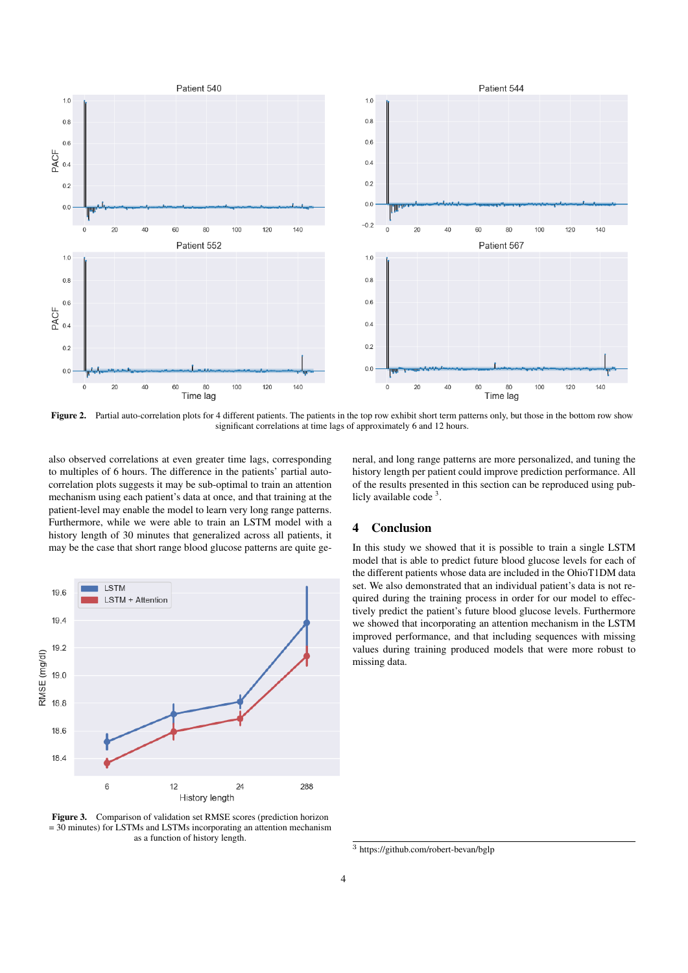

Figure 2. Partial auto-correlation plots for 4 different patients. The patients in the top row exhibit short term patterns only, but those in the bottom row show significant correlations at time lags of approximately 6 and 12 hours.

also observed correlations at even greater time lags, corresponding to multiples of 6 hours. The difference in the patients' partial autocorrelation plots suggests it may be sub-optimal to train an attention mechanism using each patient's data at once, and that training at the patient-level may enable the model to learn very long range patterns. Furthermore, while we were able to train an LSTM model with a history length of 30 minutes that generalized across all patients, it may be the case that short range blood glucose patterns are quite ge-



Figure 3. Comparison of validation set RMSE scores (prediction horizon  $= 30$  minutes) for LSTMs and LSTMs incorporating an attention mechanism as a function of history length.

neral, and long range patterns are more personalized, and tuning the history length per patient could improve prediction performance. All of the results presented in this section can be reproduced using publicly available code<sup>3</sup>.

# 4 Conclusion

In this study we showed that it is possible to train a single LSTM model that is able to predict future blood glucose levels for each of the different patients whose data are included in the OhioT1DM data set. We also demonstrated that an individual patient's data is not required during the training process in order for our model to effectively predict the patient's future blood glucose levels. Furthermore we showed that incorporating an attention mechanism in the LSTM improved performance, and that including sequences with missing values during training produced models that were more robust to missing data.

<sup>3</sup> https://github.com/robert-bevan/bglp